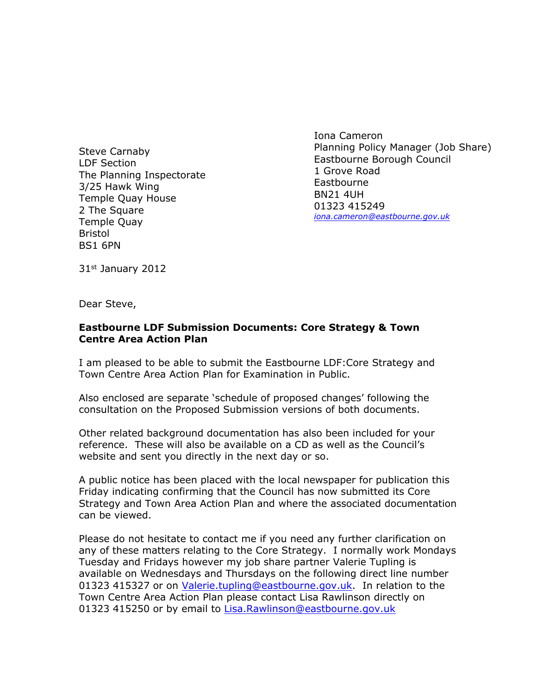$#$  $\begin{array}{c} 7 \\ 9/6 \end{array}$  $> +$  $\%$  $\%$  $\sqrt{2}$  $^\copyright$  $\alpha$  =  $\overline{I}$  $\%$  $\pm$   $^{-1}$  $\frac{1}{2}$  $( \ \ \vdots A)$  $#$  $$ \%$  $\%$  $, ($  $:(\quad : \mathsf{B})$ & %  $\#$  $$ \%$  $\left( \begin{array}{c} 0 \\ 0 \end{array} \right)$  ,  $\star$  $\overline{(\ }$  $\%$  $, ($  $\ddot{}$ 

 $\bar{1}$ 

 $\mathbb{L}$ 

 $\begin{matrix}0\\96\end{matrix}$  3  $#$  $\sim 10^{11}$  $\sim$  $4 \t 8 \t 1$  $\begin{array}{cccc} . & 5 & 1 \\ 1 & . & \% & 3 \end{array}$  $\%$  $\%$ #  $\mathcal{L}^{\text{max}}$  $6\frac{1}{1}$  $\frac{1}{2}$  % . . %#  $% . 1. %$  $1$  $\%$  $\overline{3}$  $5\overline{)}$  $\%$  $2.$  $\mathbf{3}$  $\mathbb{R}^2$  $\begin{array}{ccc}\n & 1 & \% \\
\% & \# & .\n\end{array}$  $\%$  $1$  #  $\%$  $\mathbb{R}^3$  $\mathbb{Z}^{(1)}$  $%#$  $\mathcal{L}^{\mathcal{L}}$  $.3$  $\begin{array}{ccc} . & & 1\,\% \\ 3 & & \# \end{array}$  $\%$  $x^2$ <br>  $x^2$ <br>  $y^2$  $\#$  $1 \quad \blacksquare$  $\sim$  1  $#$  $\mathbf 1$  $7!$ . 9  $#$  $\overline{8}$  $\frac{0}{0}$  $%#$  $\%$  $1$  $\sim$ ,  $($  $\therefore$  (  $3 \frac{9}{6}$  $\frac{9}{6}$  3  $\cdot$  $9$  $\prec$  $=$ , (  $\qquad$  : (  $\lt$  %  $3%!$  $#$  $3<sup>1</sup>$  $3 =$  $\overline{\phantom{a}}$ 

 $\ddot{?}$